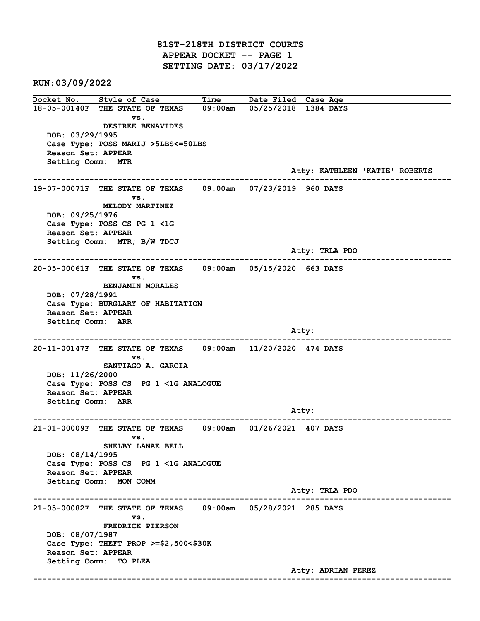81ST-218TH DISTRICT COURTS APPEAR DOCKET -- PAGE 1 SETTING DATE: 03/17/2022

RUN:03/09/2022

Docket No. Style of Case Time Date Filed Case Age 18-05-00140F THE STATE OF TEXAS 09:00am 05/25/2018 1384 DAYS vs. DESIREE BENAVIDES DOB: 03/29/1995 Case Type: POSS MARIJ >5LBS<=50LBS Reason Set: APPEAR Setting Comm: MTR Atty: KATHLEEN 'KATIE' ROBERTS ------------------------------------------------------------------------------------------------------------------------ 19-07-00071F THE STATE OF TEXAS 09:00am 07/23/2019 960 DAYS vs. MELODY MARTINEZ DOB: 09/25/1976 Case Type: POSS CS PG 1 <1G Reason Set: APPEAR Setting Comm: MTR; B/W TDCJ Atty: TRLA PDO ------------------------------------------------------------------------------------------------------------------------ 20-05-00061F THE STATE OF TEXAS 09:00am 05/15/2020 663 DAYS vs. BENJAMIN MORALES DOB: 07/28/1991 Case Type: BURGLARY OF HABITATION Reason Set: APPEAR Setting Comm: ARR and the control of the control of the control of the control of the control of the control of the control of the control of the control of the control of the control of the control of the control of the control of the cont ------------------------------------------------------------------------------------------------------------------------ 20-11-00147F THE STATE OF TEXAS 09:00am 11/20/2020 474 DAYS vs. SANTIAGO A. GARCIA DOB: 11/26/2000 Case Type: POSS CS PG 1 <1G ANALOGUE Reason Set: APPEAR Setting Comm: ARR Atty: ------------------------------------------------------------------------------------------------------------------------ 21-01-00009F THE STATE OF TEXAS 09:00am 01/26/2021 407 DAYS vs. SHELBY LANAE BELL DOB: 08/14/1995 Case Type: POSS CS PG 1 <1G ANALOGUE Reason Set: APPEAR Setting Comm: MON COMM Atty: TRLA PDO ------------------------------------------------------------------------------------------------------------------------ 21-05-00082F THE STATE OF TEXAS 09:00am 05/28/2021 285 DAYS vs. FREDRICK PIERSON DOB: 08/07/1987 Case Type: THEFT PROP >=\$2,500<\$30K Reason Set: APPEAR Setting Comm: TO PLEA Atty: ADRIAN PEREZ ------------------------------------------------------------------------------------------------------------------------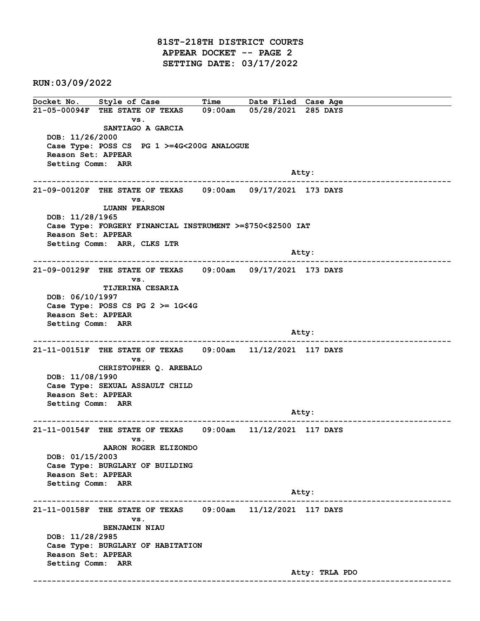81ST-218TH DISTRICT COURTS APPEAR DOCKET -- PAGE 2 SETTING DATE: 03/17/2022

RUN:03/09/2022

Docket No. Style of Case Time Date Filed Case Age 21-05-00094F THE STATE OF TEXAS 09:00am 05/28/2021 285 DAYS vs. SANTIAGO A GARCIA DOB: 11/26/2000 Case Type: POSS CS PG 1 >=4G<200G ANALOGUE Reason Set: APPEAR Setting Comm: ARR and the control of the control of the control of the control of the control of the control of the control of the control of the control of the control of the control of the control of the control of the control of the cont ------------------------------------------------------------------------------------------------------------------------ 21-09-00120F THE STATE OF TEXAS 09:00am 09/17/2021 173 DAYS vs. LUANN PEARSON DOB: 11/28/1965 Case Type: FORGERY FINANCIAL INSTRUMENT >=\$750<\$2500 IAT Reason Set: APPEAR Setting Comm: ARR, CLKS LTR and the control of the control of the control of the control of the control of the control of the control of the control of the control of the control of the control of the control of the control of the control of the cont ------------------------------------------------------------------------------------------------------------------------ 21-09-00129F THE STATE OF TEXAS 09:00am 09/17/2021 173 DAYS vs. TIJERINA CESARIA DOB: 06/10/1997 Case Type: POSS CS PG 2 >= 1G<4G Reason Set: APPEAR Setting Comm: ARR and the control of the control of the control of the control of the control of the control of the control of the control of the control of the control of the control of the control of the control of the control of the cont ------------------------------------------------------------------------------------------------------------------------ 21-11-00151F THE STATE OF TEXAS 09:00am 11/12/2021 117 DAYS vs. CHRISTOPHER Q. AREBALO DOB: 11/08/1990 Case Type: SEXUAL ASSAULT CHILD Reason Set: APPEAR Setting Comm: ARR example of the contract of the contract of the contract of the contract of the contract of the contract of the contract of the contract of the contract of the contract of the contract of the contract of the contract of the ------------------------------------------------------------------------------------------------------------------------ 21-11-00154F THE STATE OF TEXAS 09:00am 11/12/2021 117 DAYS vs. AARON ROGER ELIZONDO DOB: 01/15/2003 Case Type: BURGLARY OF BUILDING Reason Set: APPEAR Setting Comm: ARR Atty: ------------------------------------------------------------------------------------------------------------------------ 21-11-00158F THE STATE OF TEXAS 09:00am 11/12/2021 117 DAYS vs. BENJAMIN NIAU DOB: 11/28/2985 Case Type: BURGLARY OF HABITATION Reason Set: APPEAR Setting Comm: ARR Atty: TRLA PDO ------------------------------------------------------------------------------------------------------------------------